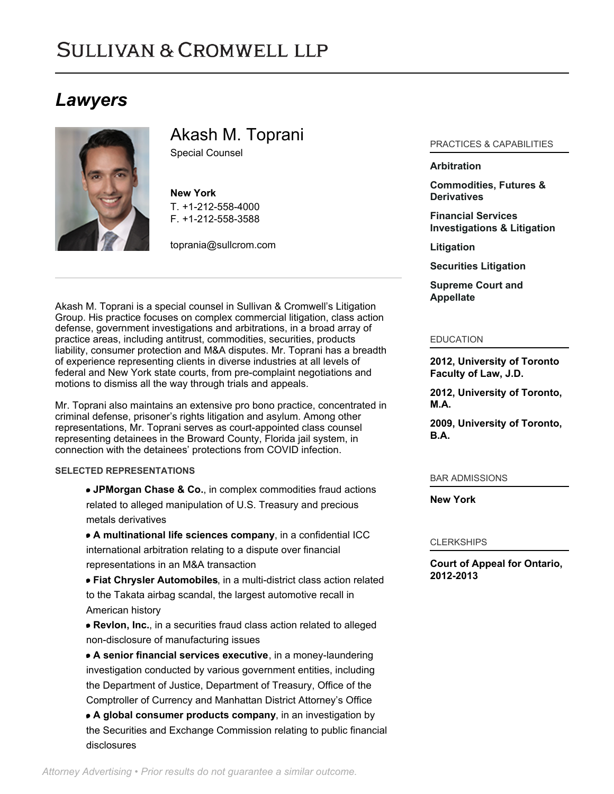# **SULLIVAN & CROMWELL LLP**

# *Lawyers*



Akash M. Toprani

Special Counsel

**New York** T. [+1-212-558-4000](tel:+1-212-558-4000) F. [+1-212-558-3588](tel:+1-212-558-3588)

[toprania@sullcrom.com](https://www.sullcrom.com/email-disclaimer?profsid=lawyers/AkashM-Toprani)

Akash M. Toprani is a special counsel in Sullivan & Cromwell's Litigation Group. His practice focuses on complex commercial litigation, class action defense, government investigations and arbitrations, in a broad array of practice areas, including antitrust, commodities, securities, products liability, consumer protection and M&A disputes. Mr. Toprani has a breadth of experience representing clients in diverse industries at all levels of federal and New York state courts, from pre-complaint negotiations and motions to dismiss all the way through trials and appeals.

Mr. Toprani also maintains an extensive pro bono practice, concentrated in criminal defense, prisoner's rights litigation and asylum. Among other representations, Mr. Toprani serves as court-appointed class counsel representing detainees in the Broward County, Florida jail system, in connection with the detainees' protections from COVID infection.

# **SELECTED REPRESENTATIONS**

**JPMorgan Chase & Co.**, in complex commodities fraud actions related to alleged manipulation of U.S. Treasury and precious metals derivatives

**A multinational life sciences company**, in a confidential ICC international arbitration relating to a dispute over financial representations in an M&A transaction

**Fiat Chrysler Automobiles**, in a multi-district class action related to the Takata airbag scandal, the largest automotive recall in American history

**Revlon, Inc.**, in a securities fraud class action related to alleged non-disclosure of manufacturing issues

**A senior financial services executive**, in a money-laundering investigation conducted by various government entities, including the Department of Justice, Department of Treasury, Office of the Comptroller of Currency and Manhattan District Attorney's Office

**A global consumer products company**, in an investigation by the Securities and Exchange Commission relating to public financial disclosures

# PRACTICES & CAPABILITIES

### **[Arbitration](https://www.sullcrom.com/Arbitration-Practices)**

**[Commodities, Futures &](https://www.sullcrom.com/Commodities-Futures-and-Derivatives-Practices) [Derivatives](https://www.sullcrom.com/Commodities-Futures-and-Derivatives-Practices)**

**[Financial Services](https://www.sullcrom.com/bank-related-investigation-and-litigation-redirect) [Investigations & Litigation](https://www.sullcrom.com/bank-related-investigation-and-litigation-redirect)**

**[Litigation](https://www.sullcrom.com/Litigation-Practices)**

**[Securities Litigation](https://www.sullcrom.com/Securities-Litigation-Practices)**

**[Supreme Court and](https://www.sullcrom.com/Supreme-Court-and-Appellate-Practices) [Appellate](https://www.sullcrom.com/Supreme-Court-and-Appellate-Practices)**

#### EDUCATION

**2012, University of Toronto Faculty of Law, J.D.** 

**2012, University of Toronto, M.A.** 

**2009, University of Toronto, B.A.** 

#### BAR ADMISSIONS

**New York** 

#### CLERKSHIPS

**Court of Appeal for Ontario, 2012-2013**